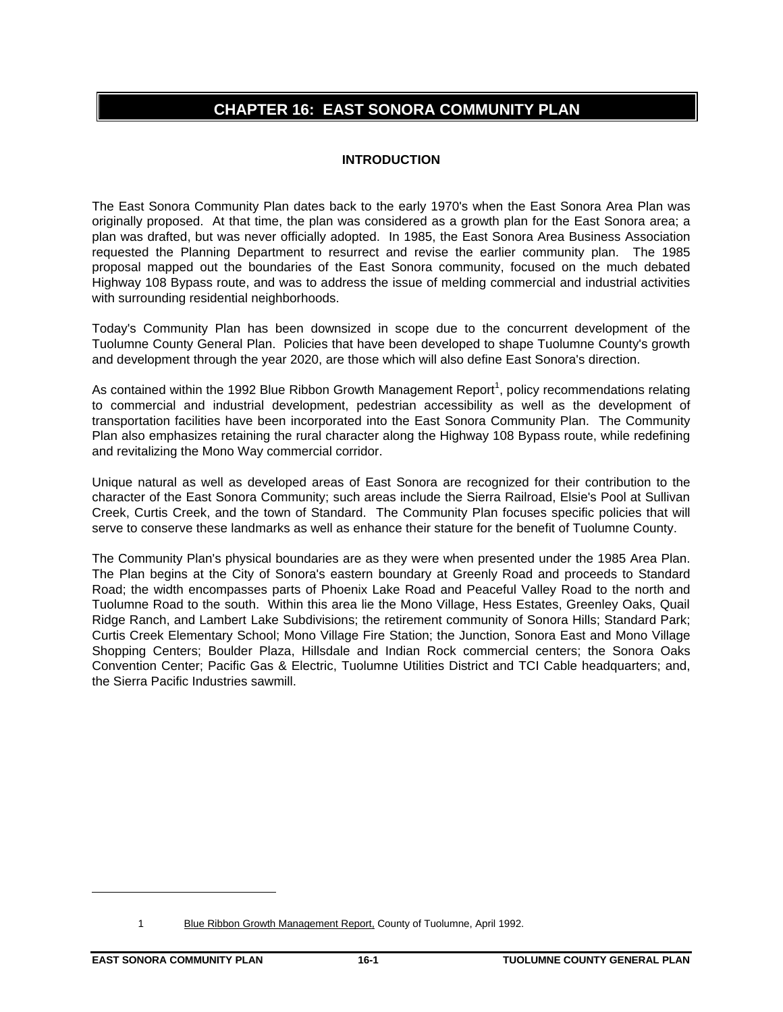# **CHAPTER 16: EAST SONORA COMMUNITY PLAN**

# **INTRODUCTION**

The East Sonora Community Plan dates back to the early 1970's when the East Sonora Area Plan was originally proposed. At that time, the plan was considered as a growth plan for the East Sonora area; a plan was drafted, but was never officially adopted. In 1985, the East Sonora Area Business Association requested the Planning Department to resurrect and revise the earlier community plan. The 1985 proposal mapped out the boundaries of the East Sonora community, focused on the much debated Highway 108 Bypass route, and was to address the issue of melding commercial and industrial activities with surrounding residential neighborhoods.

Today's Community Plan has been downsized in scope due to the concurrent development of the Tuolumne County General Plan. Policies that have been developed to shape Tuolumne County's growth and development through the year 2020, are those which will also define East Sonora's direction.

As contained within the 1992 Blue Ribbon Growth Management Report<sup>1</sup>, policy recommendations relating to commercial and industrial development, pedestrian accessibility as well as the development of transportation facilities have been incorporated into the East Sonora Community Plan. The Community Plan also emphasizes retaining the rural character along the Highway 108 Bypass route, while redefining and revitalizing the Mono Way commercial corridor.

Unique natural as well as developed areas of East Sonora are recognized for their contribution to the character of the East Sonora Community; such areas include the Sierra Railroad, Elsie's Pool at Sullivan Creek, Curtis Creek, and the town of Standard. The Community Plan focuses specific policies that will serve to conserve these landmarks as well as enhance their stature for the benefit of Tuolumne County.

The Community Plan's physical boundaries are as they were when presented under the 1985 Area Plan. The Plan begins at the City of Sonora's eastern boundary at Greenly Road and proceeds to Standard Road; the width encompasses parts of Phoenix Lake Road and Peaceful Valley Road to the north and Tuolumne Road to the south. Within this area lie the Mono Village, Hess Estates, Greenley Oaks, Quail Ridge Ranch, and Lambert Lake Subdivisions; the retirement community of Sonora Hills; Standard Park; Curtis Creek Elementary School; Mono Village Fire Station; the Junction, Sonora East and Mono Village Shopping Centers; Boulder Plaza, Hillsdale and Indian Rock commercial centers; the Sonora Oaks Convention Center; Pacific Gas & Electric, Tuolumne Utilities District and TCI Cable headquarters; and, the Sierra Pacific Industries sawmill.

 $\overline{a}$ 

<sup>1</sup> Blue Ribbon Growth Management Report, County of Tuolumne, April 1992.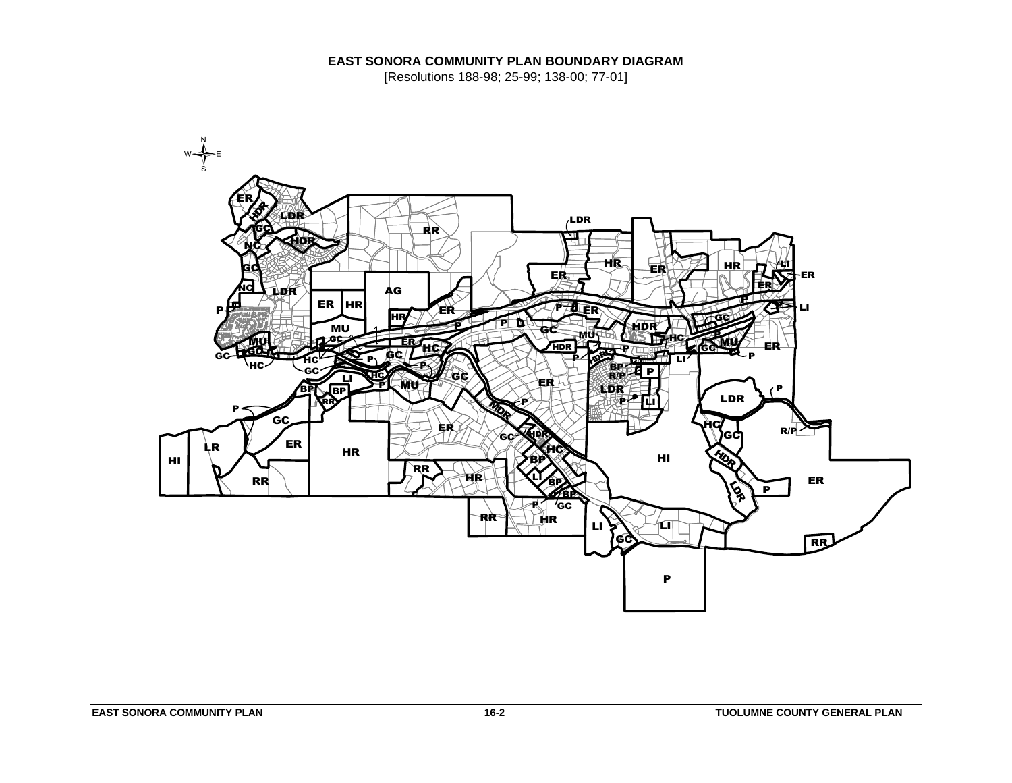# **EAST SONORA COMMUNITY PLAN BOUNDARY DIAGRAM**

[Resolutions 188-98; 25-99; 138-00; 77-01]

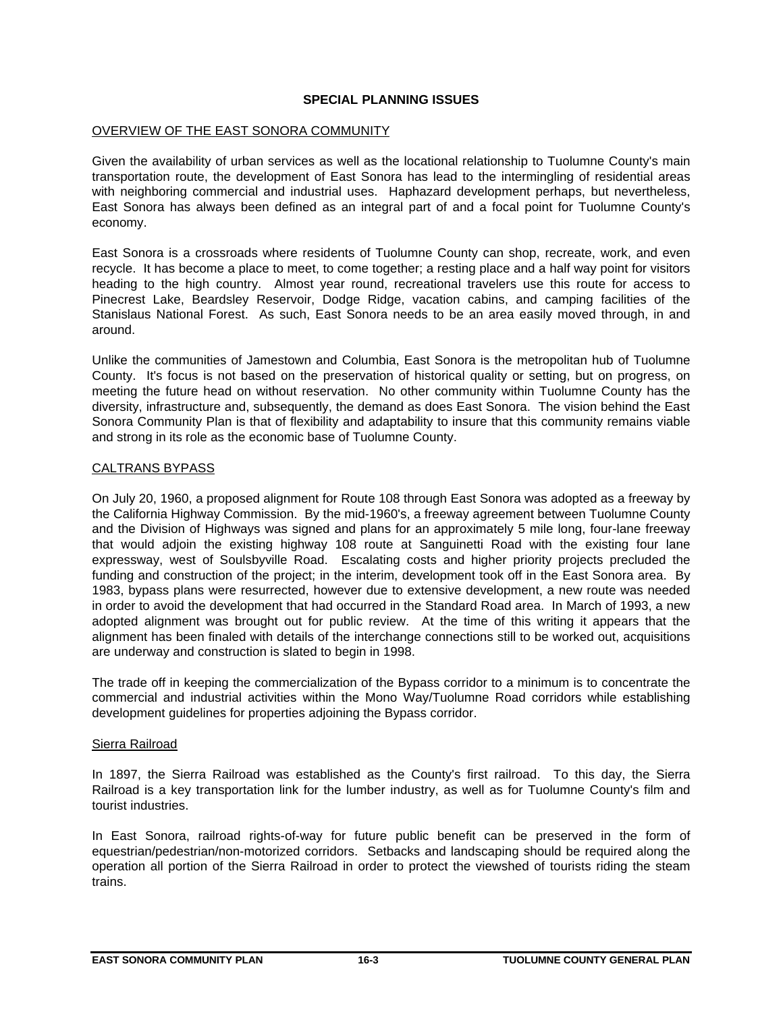## **SPECIAL PLANNING ISSUES**

## OVERVIEW OF THE EAST SONORA COMMUNITY

Given the availability of urban services as well as the locational relationship to Tuolumne County's main transportation route, the development of East Sonora has lead to the intermingling of residential areas with neighboring commercial and industrial uses. Haphazard development perhaps, but nevertheless, East Sonora has always been defined as an integral part of and a focal point for Tuolumne County's economy.

East Sonora is a crossroads where residents of Tuolumne County can shop, recreate, work, and even recycle. It has become a place to meet, to come together; a resting place and a half way point for visitors heading to the high country. Almost year round, recreational travelers use this route for access to Pinecrest Lake, Beardsley Reservoir, Dodge Ridge, vacation cabins, and camping facilities of the Stanislaus National Forest. As such, East Sonora needs to be an area easily moved through, in and around.

Unlike the communities of Jamestown and Columbia, East Sonora is the metropolitan hub of Tuolumne County. It's focus is not based on the preservation of historical quality or setting, but on progress, on meeting the future head on without reservation. No other community within Tuolumne County has the diversity, infrastructure and, subsequently, the demand as does East Sonora. The vision behind the East Sonora Community Plan is that of flexibility and adaptability to insure that this community remains viable and strong in its role as the economic base of Tuolumne County.

## CALTRANS BYPASS

On July 20, 1960, a proposed alignment for Route 108 through East Sonora was adopted as a freeway by the California Highway Commission. By the mid-1960's, a freeway agreement between Tuolumne County and the Division of Highways was signed and plans for an approximately 5 mile long, four-lane freeway that would adjoin the existing highway 108 route at Sanguinetti Road with the existing four lane expressway, west of Soulsbyville Road. Escalating costs and higher priority projects precluded the funding and construction of the project; in the interim, development took off in the East Sonora area. By 1983, bypass plans were resurrected, however due to extensive development, a new route was needed in order to avoid the development that had occurred in the Standard Road area. In March of 1993, a new adopted alignment was brought out for public review. At the time of this writing it appears that the alignment has been finaled with details of the interchange connections still to be worked out, acquisitions are underway and construction is slated to begin in 1998.

The trade off in keeping the commercialization of the Bypass corridor to a minimum is to concentrate the commercial and industrial activities within the Mono Way/Tuolumne Road corridors while establishing development guidelines for properties adjoining the Bypass corridor.

### Sierra Railroad

In 1897, the Sierra Railroad was established as the County's first railroad. To this day, the Sierra Railroad is a key transportation link for the lumber industry, as well as for Tuolumne County's film and tourist industries.

In East Sonora, railroad rights-of-way for future public benefit can be preserved in the form of equestrian/pedestrian/non-motorized corridors. Setbacks and landscaping should be required along the operation all portion of the Sierra Railroad in order to protect the viewshed of tourists riding the steam trains.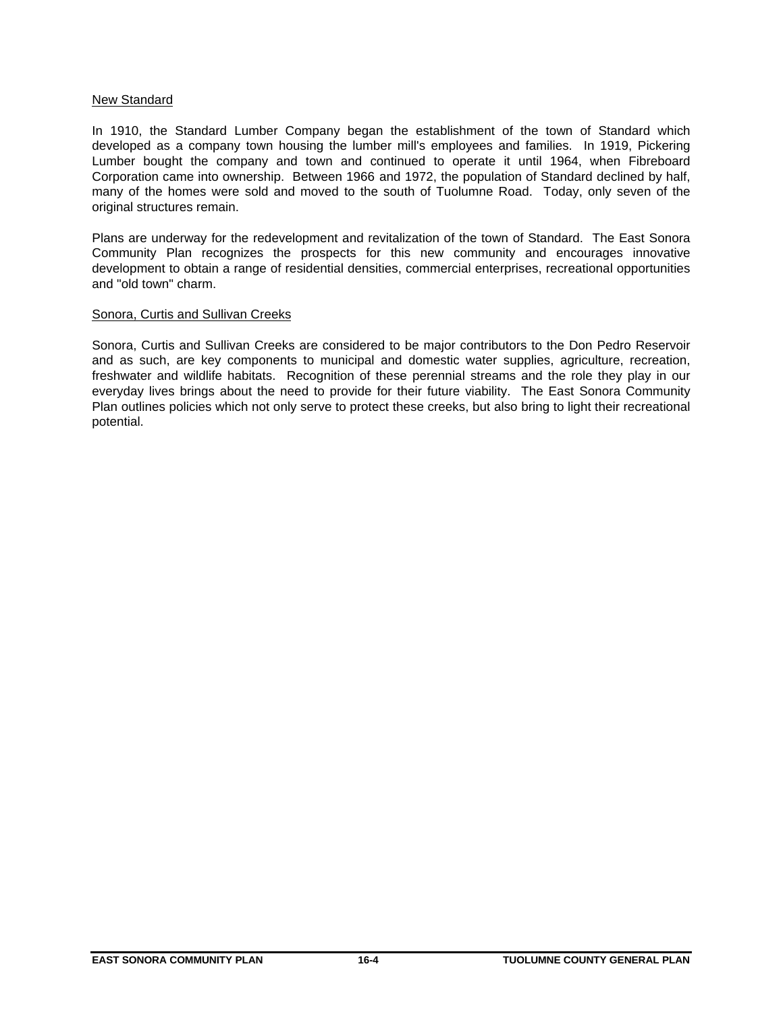## New Standard

In 1910, the Standard Lumber Company began the establishment of the town of Standard which developed as a company town housing the lumber mill's employees and families. In 1919, Pickering Lumber bought the company and town and continued to operate it until 1964, when Fibreboard Corporation came into ownership. Between 1966 and 1972, the population of Standard declined by half, many of the homes were sold and moved to the south of Tuolumne Road. Today, only seven of the original structures remain.

Plans are underway for the redevelopment and revitalization of the town of Standard. The East Sonora Community Plan recognizes the prospects for this new community and encourages innovative development to obtain a range of residential densities, commercial enterprises, recreational opportunities and "old town" charm.

## Sonora, Curtis and Sullivan Creeks

Sonora, Curtis and Sullivan Creeks are considered to be major contributors to the Don Pedro Reservoir and as such, are key components to municipal and domestic water supplies, agriculture, recreation, freshwater and wildlife habitats. Recognition of these perennial streams and the role they play in our everyday lives brings about the need to provide for their future viability. The East Sonora Community Plan outlines policies which not only serve to protect these creeks, but also bring to light their recreational potential.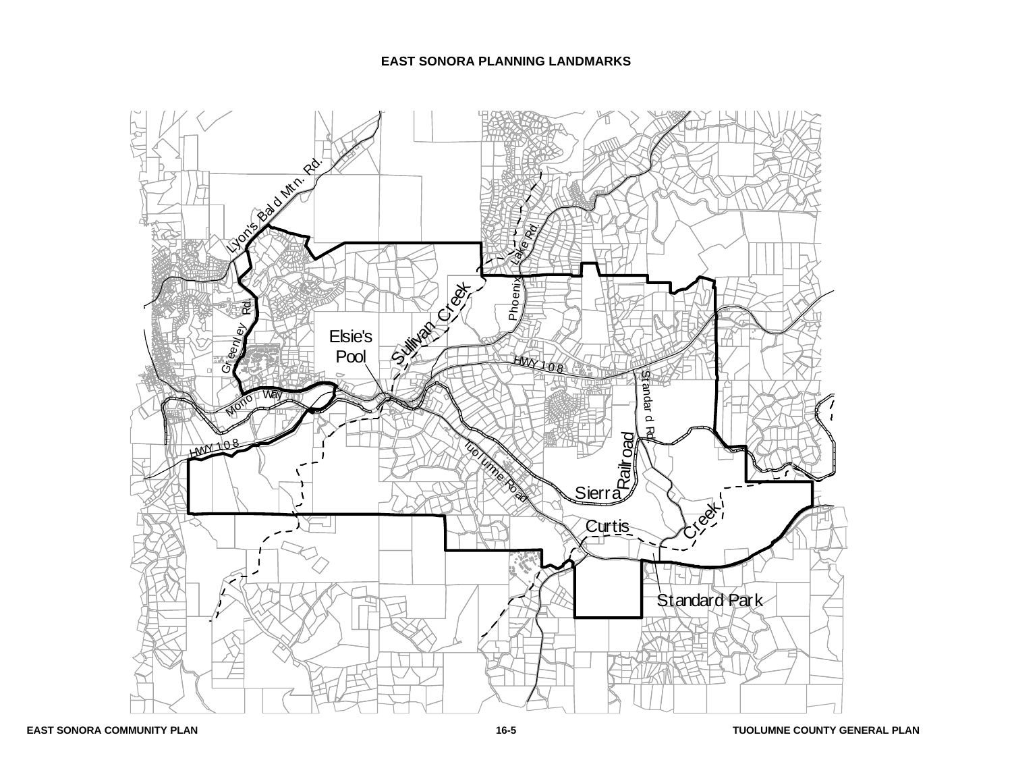## **EAST SONORA PLANNING LANDMARKS**

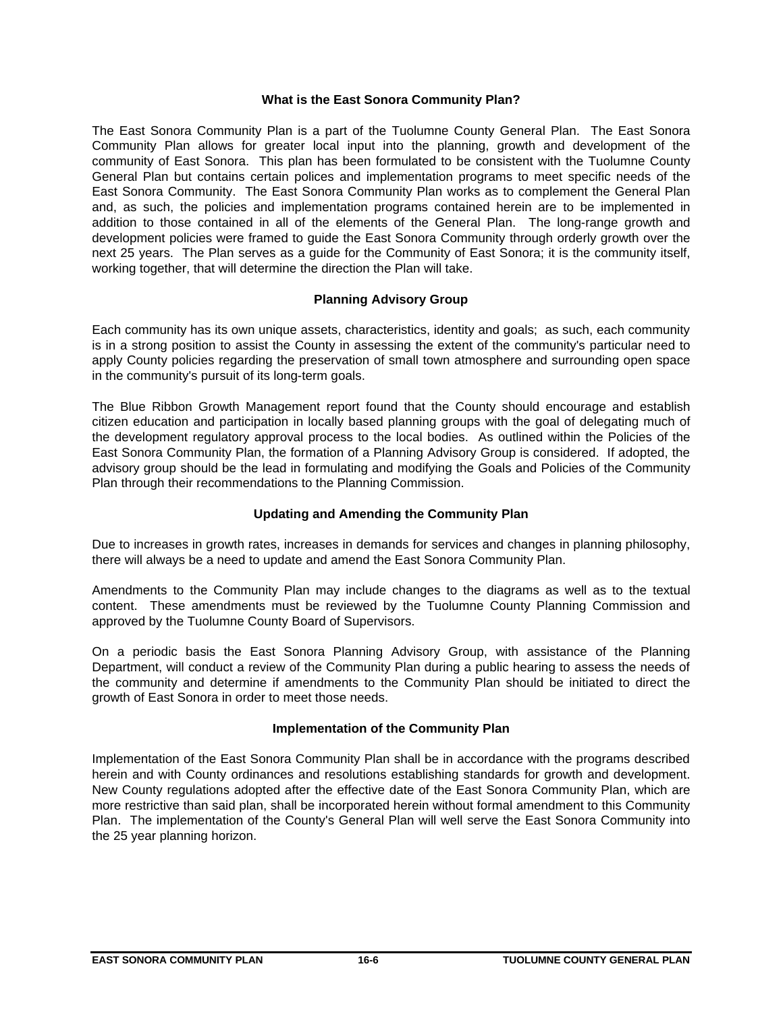## **What is the East Sonora Community Plan?**

The East Sonora Community Plan is a part of the Tuolumne County General Plan. The East Sonora Community Plan allows for greater local input into the planning, growth and development of the community of East Sonora. This plan has been formulated to be consistent with the Tuolumne County General Plan but contains certain polices and implementation programs to meet specific needs of the East Sonora Community. The East Sonora Community Plan works as to complement the General Plan and, as such, the policies and implementation programs contained herein are to be implemented in addition to those contained in all of the elements of the General Plan. The long-range growth and development policies were framed to guide the East Sonora Community through orderly growth over the next 25 years. The Plan serves as a guide for the Community of East Sonora; it is the community itself, working together, that will determine the direction the Plan will take.

# **Planning Advisory Group**

Each community has its own unique assets, characteristics, identity and goals; as such, each community is in a strong position to assist the County in assessing the extent of the community's particular need to apply County policies regarding the preservation of small town atmosphere and surrounding open space in the community's pursuit of its long-term goals.

The Blue Ribbon Growth Management report found that the County should encourage and establish citizen education and participation in locally based planning groups with the goal of delegating much of the development regulatory approval process to the local bodies. As outlined within the Policies of the East Sonora Community Plan, the formation of a Planning Advisory Group is considered. If adopted, the advisory group should be the lead in formulating and modifying the Goals and Policies of the Community Plan through their recommendations to the Planning Commission.

# **Updating and Amending the Community Plan**

Due to increases in growth rates, increases in demands for services and changes in planning philosophy, there will always be a need to update and amend the East Sonora Community Plan.

Amendments to the Community Plan may include changes to the diagrams as well as to the textual content. These amendments must be reviewed by the Tuolumne County Planning Commission and approved by the Tuolumne County Board of Supervisors.

On a periodic basis the East Sonora Planning Advisory Group, with assistance of the Planning Department, will conduct a review of the Community Plan during a public hearing to assess the needs of the community and determine if amendments to the Community Plan should be initiated to direct the growth of East Sonora in order to meet those needs.

# **Implementation of the Community Plan**

Implementation of the East Sonora Community Plan shall be in accordance with the programs described herein and with County ordinances and resolutions establishing standards for growth and development. New County regulations adopted after the effective date of the East Sonora Community Plan, which are more restrictive than said plan, shall be incorporated herein without formal amendment to this Community Plan. The implementation of the County's General Plan will well serve the East Sonora Community into the 25 year planning horizon.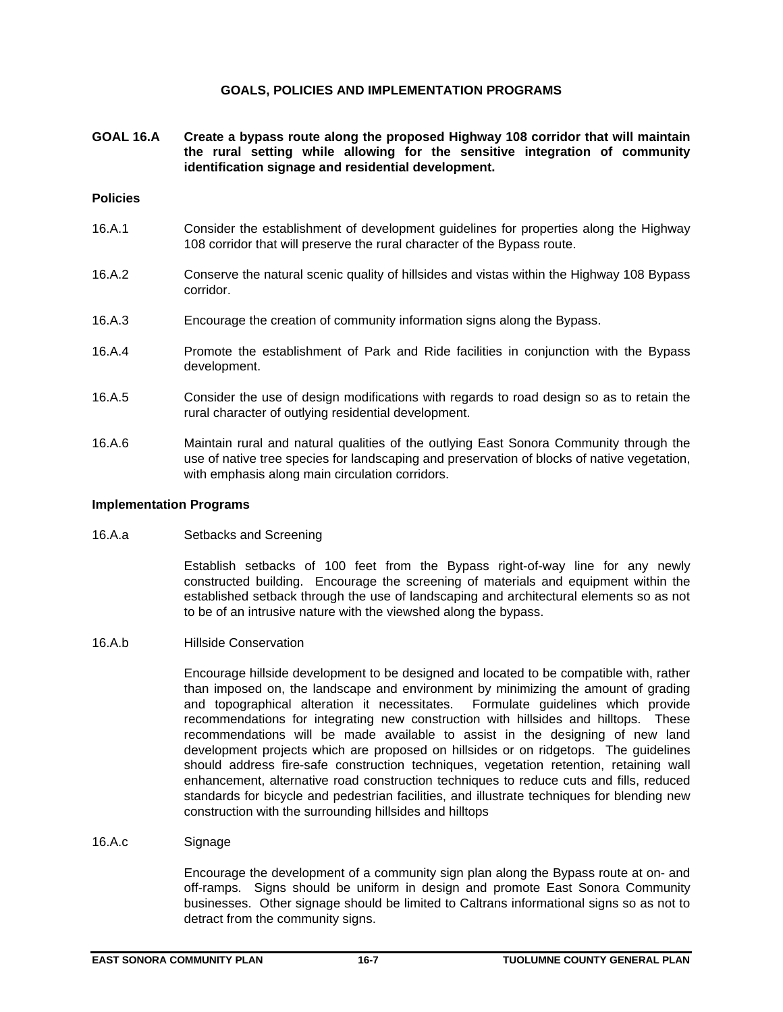## **GOALS, POLICIES AND IMPLEMENTATION PROGRAMS**

**GOAL 16.A Create a bypass route along the proposed Highway 108 corridor that will maintain the rural setting while allowing for the sensitive integration of community identification signage and residential development.**

## **Policies**

- 16.A.1 Consider the establishment of development guidelines for properties along the Highway 108 corridor that will preserve the rural character of the Bypass route.
- 16.A.2 Conserve the natural scenic quality of hillsides and vistas within the Highway 108 Bypass corridor.
- 16.A.3 Encourage the creation of community information signs along the Bypass.
- 16.A.4 Promote the establishment of Park and Ride facilities in conjunction with the Bypass development.
- 16.A.5 Consider the use of design modifications with regards to road design so as to retain the rural character of outlying residential development.
- 16.A.6 Maintain rural and natural qualities of the outlying East Sonora Community through the use of native tree species for landscaping and preservation of blocks of native vegetation, with emphasis along main circulation corridors.

### **Implementation Programs**

16.A.a Setbacks and Screening

Establish setbacks of 100 feet from the Bypass right-of-way line for any newly constructed building. Encourage the screening of materials and equipment within the established setback through the use of landscaping and architectural elements so as not to be of an intrusive nature with the viewshed along the bypass.

16.A.b Hillside Conservation

Encourage hillside development to be designed and located to be compatible with, rather than imposed on, the landscape and environment by minimizing the amount of grading and topographical alteration it necessitates. Formulate guidelines which provide recommendations for integrating new construction with hillsides and hilltops. These recommendations will be made available to assist in the designing of new land development projects which are proposed on hillsides or on ridgetops. The guidelines should address fire-safe construction techniques, vegetation retention, retaining wall enhancement, alternative road construction techniques to reduce cuts and fills, reduced standards for bicycle and pedestrian facilities, and illustrate techniques for blending new construction with the surrounding hillsides and hilltops

16.A.c Signage

Encourage the development of a community sign plan along the Bypass route at on- and off-ramps. Signs should be uniform in design and promote East Sonora Community businesses. Other signage should be limited to Caltrans informational signs so as not to detract from the community signs.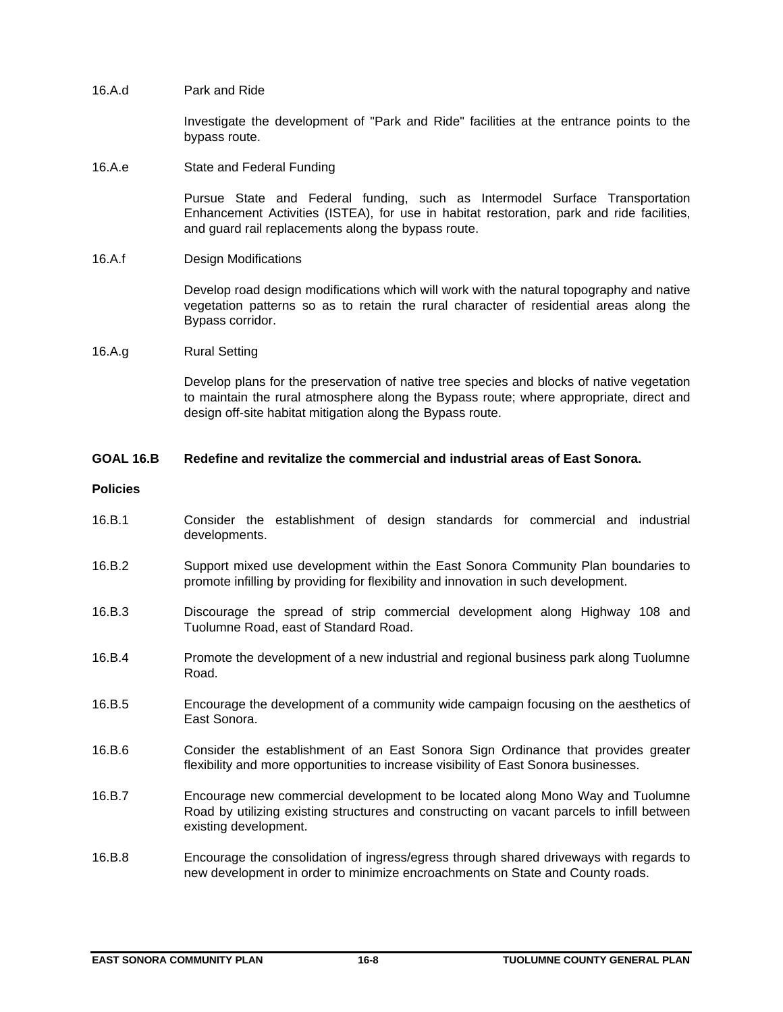### 16.A.d Park and Ride

Investigate the development of "Park and Ride" facilities at the entrance points to the bypass route.

#### 16.A.e State and Federal Funding

Pursue State and Federal funding, such as Intermodel Surface Transportation Enhancement Activities (ISTEA), for use in habitat restoration, park and ride facilities, and guard rail replacements along the bypass route.

#### 16.A.f Design Modifications

Develop road design modifications which will work with the natural topography and native vegetation patterns so as to retain the rural character of residential areas along the Bypass corridor.

#### 16.A.g Rural Setting

Develop plans for the preservation of native tree species and blocks of native vegetation to maintain the rural atmosphere along the Bypass route; where appropriate, direct and design off-site habitat mitigation along the Bypass route.

### **GOAL 16.B Redefine and revitalize the commercial and industrial areas of East Sonora.**

#### **Policies**

- 16.B.1 Consider the establishment of design standards for commercial and industrial developments.
- 16.B.2 Support mixed use development within the East Sonora Community Plan boundaries to promote infilling by providing for flexibility and innovation in such development.
- 16.B.3 Discourage the spread of strip commercial development along Highway 108 and Tuolumne Road, east of Standard Road.
- 16.B.4 Promote the development of a new industrial and regional business park along Tuolumne Road.
- 16.B.5 Encourage the development of a community wide campaign focusing on the aesthetics of East Sonora.
- 16.B.6 Consider the establishment of an East Sonora Sign Ordinance that provides greater flexibility and more opportunities to increase visibility of East Sonora businesses.
- 16.B.7 Encourage new commercial development to be located along Mono Way and Tuolumne Road by utilizing existing structures and constructing on vacant parcels to infill between existing development.
- 16.B.8 Encourage the consolidation of ingress/egress through shared driveways with regards to new development in order to minimize encroachments on State and County roads.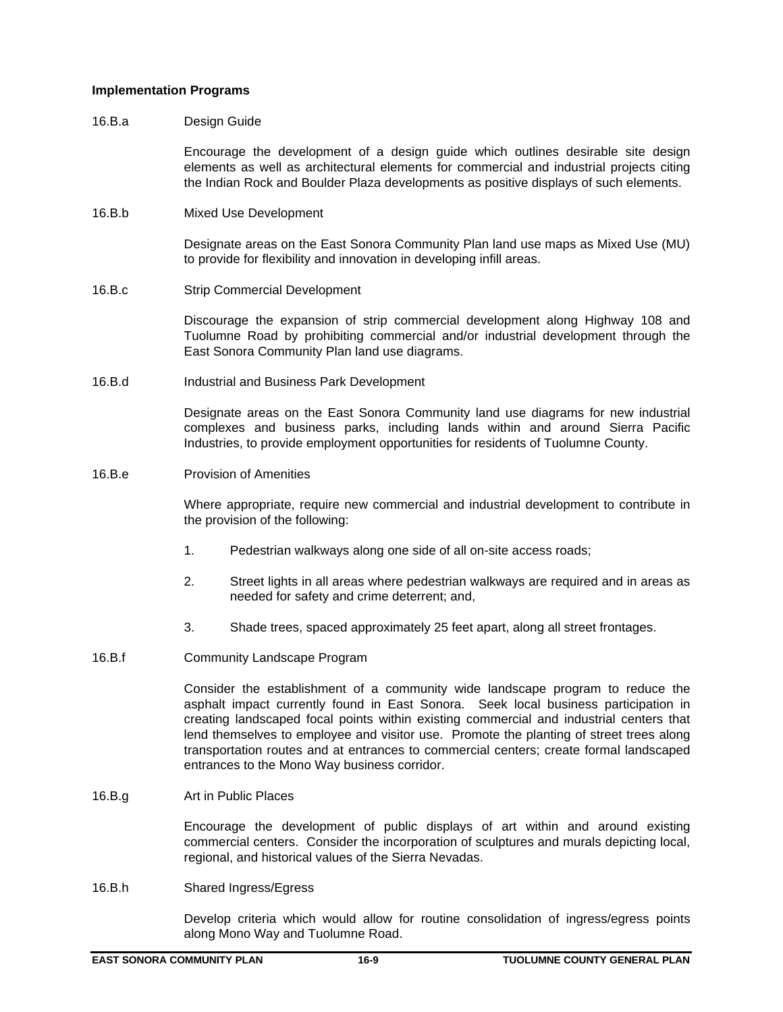#### **Implementation Programs**

#### 16.B.a Design Guide

Encourage the development of a design guide which outlines desirable site design elements as well as architectural elements for commercial and industrial projects citing the Indian Rock and Boulder Plaza developments as positive displays of such elements.

16.B.b Mixed Use Development

Designate areas on the East Sonora Community Plan land use maps as Mixed Use (MU) to provide for flexibility and innovation in developing infill areas.

16.B.c Strip Commercial Development

Discourage the expansion of strip commercial development along Highway 108 and Tuolumne Road by prohibiting commercial and/or industrial development through the East Sonora Community Plan land use diagrams.

16.B.d Industrial and Business Park Development

Designate areas on the East Sonora Community land use diagrams for new industrial complexes and business parks, including lands within and around Sierra Pacific Industries, to provide employment opportunities for residents of Tuolumne County.

16.B.e Provision of Amenities

Where appropriate, require new commercial and industrial development to contribute in the provision of the following:

- 1. Pedestrian walkways along one side of all on-site access roads;
- 2. Street lights in all areas where pedestrian walkways are required and in areas as needed for safety and crime deterrent; and,
- 3. Shade trees, spaced approximately 25 feet apart, along all street frontages.
- 16.B.f Community Landscape Program

Consider the establishment of a community wide landscape program to reduce the asphalt impact currently found in East Sonora. Seek local business participation in creating landscaped focal points within existing commercial and industrial centers that lend themselves to employee and visitor use. Promote the planting of street trees along transportation routes and at entrances to commercial centers; create formal landscaped entrances to the Mono Way business corridor.

16.B.g Art in Public Places

Encourage the development of public displays of art within and around existing commercial centers. Consider the incorporation of sculptures and murals depicting local, regional, and historical values of the Sierra Nevadas.

16.B.h Shared Ingress/Egress

Develop criteria which would allow for routine consolidation of ingress/egress points along Mono Way and Tuolumne Road.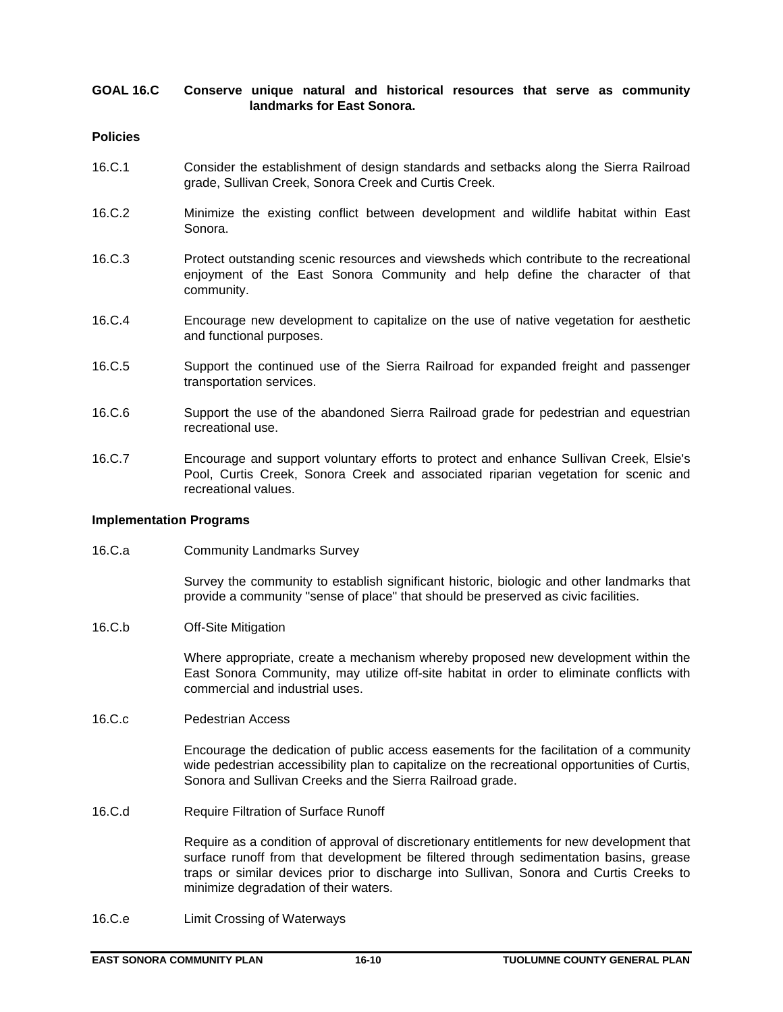## **GOAL 16.C Conserve unique natural and historical resources that serve as community landmarks for East Sonora.**

## **Policies**

- 16.C.1 Consider the establishment of design standards and setbacks along the Sierra Railroad grade, Sullivan Creek, Sonora Creek and Curtis Creek.
- 16.C.2 Minimize the existing conflict between development and wildlife habitat within East Sonora.
- 16.C.3 Protect outstanding scenic resources and viewsheds which contribute to the recreational enjoyment of the East Sonora Community and help define the character of that community.
- 16.C.4 Encourage new development to capitalize on the use of native vegetation for aesthetic and functional purposes.
- 16.C.5 Support the continued use of the Sierra Railroad for expanded freight and passenger transportation services.
- 16.C.6 Support the use of the abandoned Sierra Railroad grade for pedestrian and equestrian recreational use.
- 16.C.7 Encourage and support voluntary efforts to protect and enhance Sullivan Creek, Elsie's Pool, Curtis Creek, Sonora Creek and associated riparian vegetation for scenic and recreational values.

### **Implementation Programs**

16.C.a Community Landmarks Survey

Survey the community to establish significant historic, biologic and other landmarks that provide a community "sense of place" that should be preserved as civic facilities.

16.C.b Off-Site Mitigation

Where appropriate, create a mechanism whereby proposed new development within the East Sonora Community, may utilize off-site habitat in order to eliminate conflicts with commercial and industrial uses.

16.C.c Pedestrian Access

Encourage the dedication of public access easements for the facilitation of a community wide pedestrian accessibility plan to capitalize on the recreational opportunities of Curtis, Sonora and Sullivan Creeks and the Sierra Railroad grade.

16.C.d Require Filtration of Surface Runoff

Require as a condition of approval of discretionary entitlements for new development that surface runoff from that development be filtered through sedimentation basins, grease traps or similar devices prior to discharge into Sullivan, Sonora and Curtis Creeks to minimize degradation of their waters.

16.C.e Limit Crossing of Waterways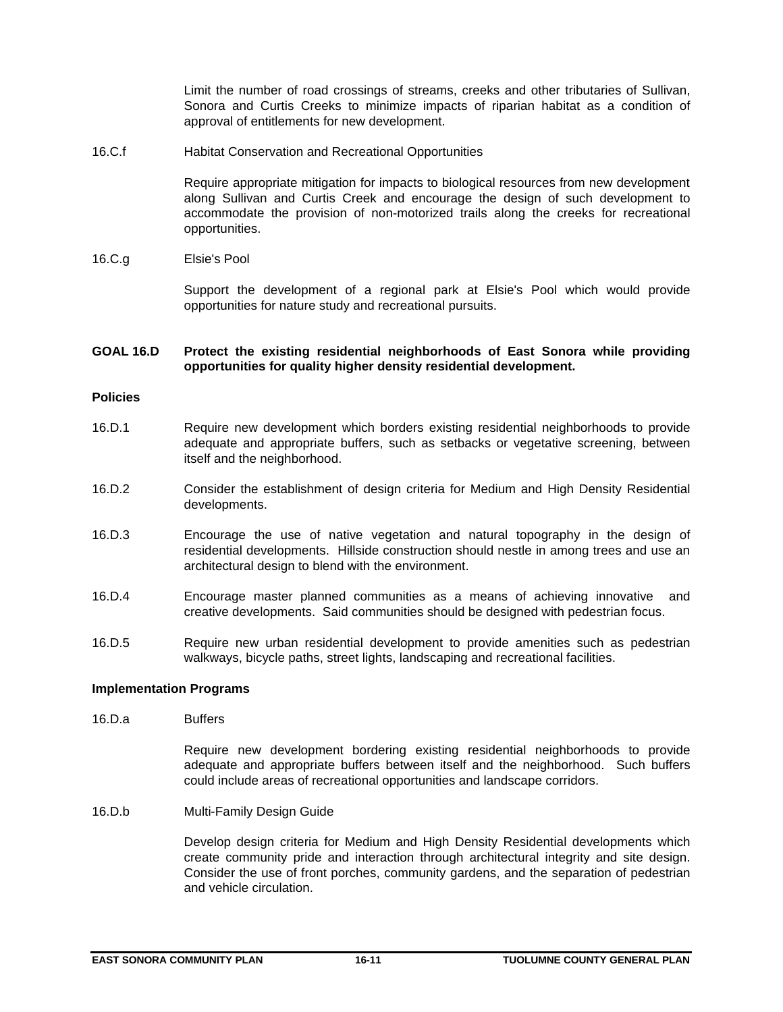Limit the number of road crossings of streams, creeks and other tributaries of Sullivan, Sonora and Curtis Creeks to minimize impacts of riparian habitat as a condition of approval of entitlements for new development.

16.C.f Habitat Conservation and Recreational Opportunities

Require appropriate mitigation for impacts to biological resources from new development along Sullivan and Curtis Creek and encourage the design of such development to accommodate the provision of non-motorized trails along the creeks for recreational opportunities.

16.C.g Elsie's Pool

Support the development of a regional park at Elsie's Pool which would provide opportunities for nature study and recreational pursuits.

## **GOAL 16.D Protect the existing residential neighborhoods of East Sonora while providing opportunities for quality higher density residential development.**

## **Policies**

- 16.D.1 Require new development which borders existing residential neighborhoods to provide adequate and appropriate buffers, such as setbacks or vegetative screening, between itself and the neighborhood.
- 16.D.2 Consider the establishment of design criteria for Medium and High Density Residential developments.
- 16.D.3 Encourage the use of native vegetation and natural topography in the design of residential developments. Hillside construction should nestle in among trees and use an architectural design to blend with the environment.
- 16.D.4 Encourage master planned communities as a means of achieving innovative and creative developments. Said communities should be designed with pedestrian focus.
- 16.D.5 Require new urban residential development to provide amenities such as pedestrian walkways, bicycle paths, street lights, landscaping and recreational facilities.

## **Implementation Programs**

16.D.a Buffers

Require new development bordering existing residential neighborhoods to provide adequate and appropriate buffers between itself and the neighborhood. Such buffers could include areas of recreational opportunities and landscape corridors.

16.D.b Multi-Family Design Guide

Develop design criteria for Medium and High Density Residential developments which create community pride and interaction through architectural integrity and site design. Consider the use of front porches, community gardens, and the separation of pedestrian and vehicle circulation.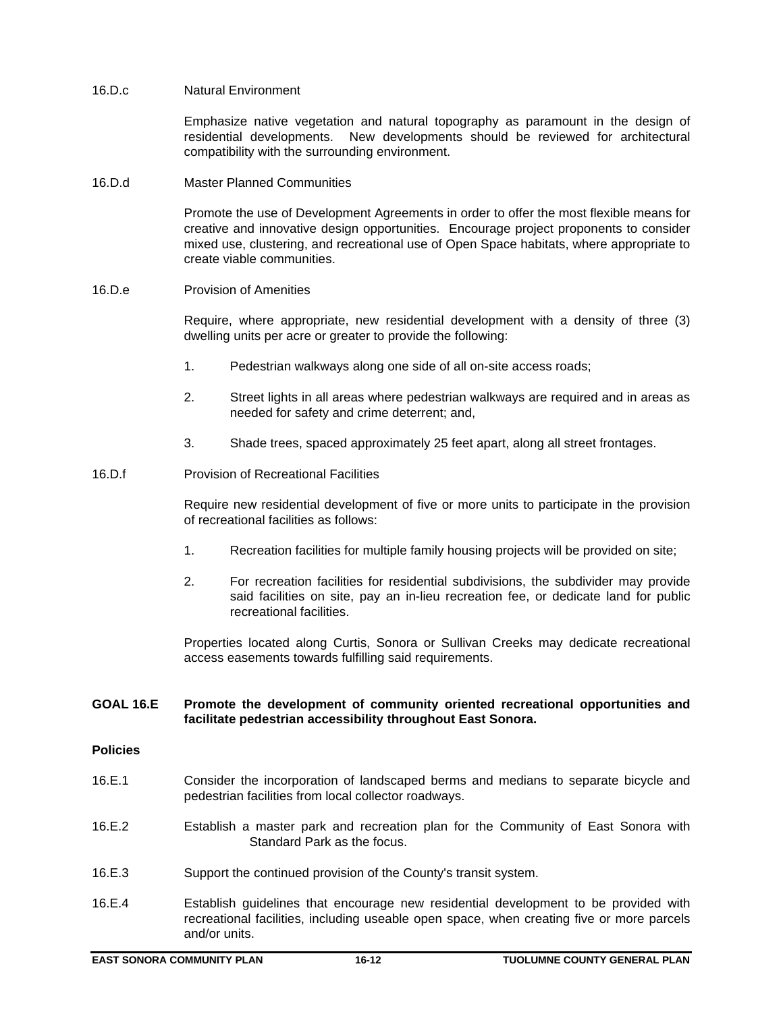#### 16.D.c Natural Environment

Emphasize native vegetation and natural topography as paramount in the design of residential developments. New developments should be reviewed for architectural compatibility with the surrounding environment.

#### 16.D.d Master Planned Communities

Promote the use of Development Agreements in order to offer the most flexible means for creative and innovative design opportunities. Encourage project proponents to consider mixed use, clustering, and recreational use of Open Space habitats, where appropriate to create viable communities.

## 16.D.e Provision of Amenities

Require, where appropriate, new residential development with a density of three (3) dwelling units per acre or greater to provide the following:

- 1. Pedestrian walkways along one side of all on-site access roads;
- 2. Street lights in all areas where pedestrian walkways are required and in areas as needed for safety and crime deterrent; and,
- 3. Shade trees, spaced approximately 25 feet apart, along all street frontages.
- 16.D.f Provision of Recreational Facilities

Require new residential development of five or more units to participate in the provision of recreational facilities as follows:

- 1. Recreation facilities for multiple family housing projects will be provided on site;
- 2. For recreation facilities for residential subdivisions, the subdivider may provide said facilities on site, pay an in-lieu recreation fee, or dedicate land for public recreational facilities.

Properties located along Curtis, Sonora or Sullivan Creeks may dedicate recreational access easements towards fulfilling said requirements.

## **GOAL 16.E Promote the development of community oriented recreational opportunities and facilitate pedestrian accessibility throughout East Sonora.**

### **Policies**

- 16.E.1 Consider the incorporation of landscaped berms and medians to separate bicycle and pedestrian facilities from local collector roadways.
- 16.E.2 Establish a master park and recreation plan for the Community of East Sonora with Standard Park as the focus.
- 16.E.3 Support the continued provision of the County's transit system.
- 16.E.4 Establish guidelines that encourage new residential development to be provided with recreational facilities, including useable open space, when creating five or more parcels and/or units.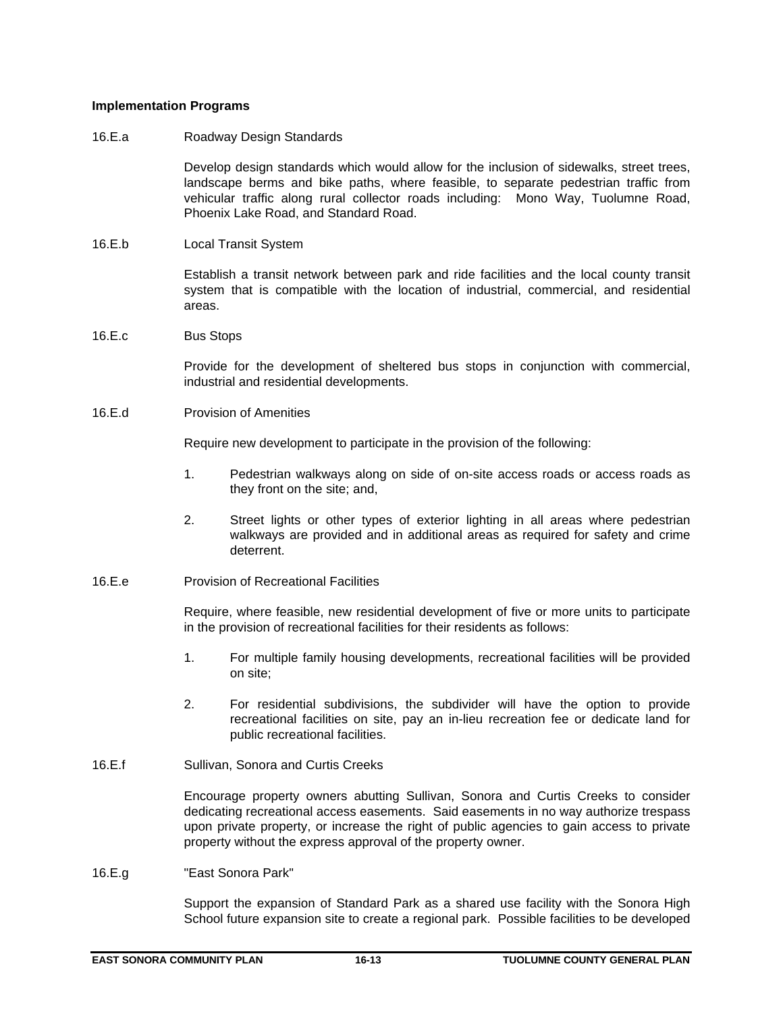## **Implementation Programs**

## 16.E.a Roadway Design Standards

Develop design standards which would allow for the inclusion of sidewalks, street trees, landscape berms and bike paths, where feasible, to separate pedestrian traffic from vehicular traffic along rural collector roads including: Mono Way, Tuolumne Road, Phoenix Lake Road, and Standard Road.

16.E.b Local Transit System

Establish a transit network between park and ride facilities and the local county transit system that is compatible with the location of industrial, commercial, and residential areas.

16.E.c Bus Stops

Provide for the development of sheltered bus stops in conjunction with commercial, industrial and residential developments.

16.E.d Provision of Amenities

Require new development to participate in the provision of the following:

- 1. Pedestrian walkways along on side of on-site access roads or access roads as they front on the site; and,
- 2. Street lights or other types of exterior lighting in all areas where pedestrian walkways are provided and in additional areas as required for safety and crime deterrent.
- 16.E.e Provision of Recreational Facilities

Require, where feasible, new residential development of five or more units to participate in the provision of recreational facilities for their residents as follows:

- 1. For multiple family housing developments, recreational facilities will be provided on site;
- 2. For residential subdivisions, the subdivider will have the option to provide recreational facilities on site, pay an in-lieu recreation fee or dedicate land for public recreational facilities.
- 16.E.f Sullivan, Sonora and Curtis Creeks

Encourage property owners abutting Sullivan, Sonora and Curtis Creeks to consider dedicating recreational access easements. Said easements in no way authorize trespass upon private property, or increase the right of public agencies to gain access to private property without the express approval of the property owner.

16.E.g "East Sonora Park"

Support the expansion of Standard Park as a shared use facility with the Sonora High School future expansion site to create a regional park. Possible facilities to be developed